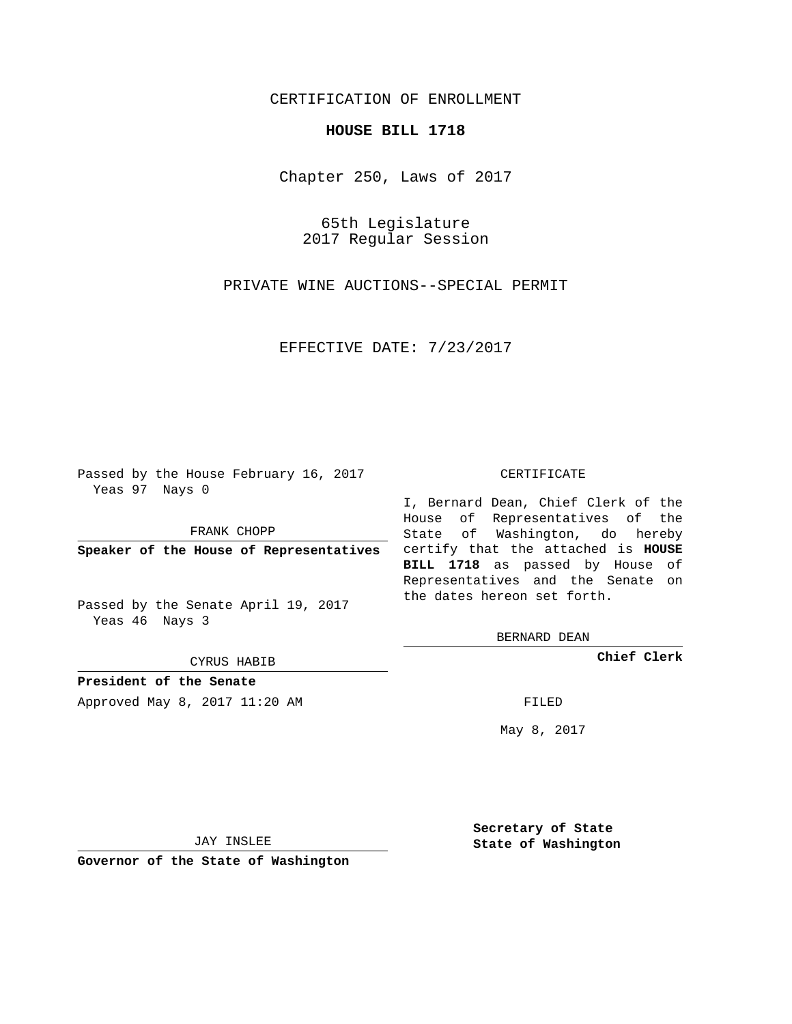## CERTIFICATION OF ENROLLMENT

### **HOUSE BILL 1718**

Chapter 250, Laws of 2017

65th Legislature 2017 Regular Session

PRIVATE WINE AUCTIONS--SPECIAL PERMIT

EFFECTIVE DATE: 7/23/2017

Passed by the House February 16, 2017 Yeas 97 Nays 0

FRANK CHOPP

Passed by the Senate April 19, 2017 Yeas 46 Nays 3

CYRUS HABIB

**President of the Senate**

Approved May 8, 2017 11:20 AM FILED

#### CERTIFICATE

**Speaker of the House of Representatives** certify that the attached is **HOUSE** I, Bernard Dean, Chief Clerk of the House of Representatives of the State of Washington, do hereby **BILL 1718** as passed by House of Representatives and the Senate on the dates hereon set forth.

BERNARD DEAN

**Chief Clerk**

May 8, 2017

JAY INSLEE

**Governor of the State of Washington**

**Secretary of State State of Washington**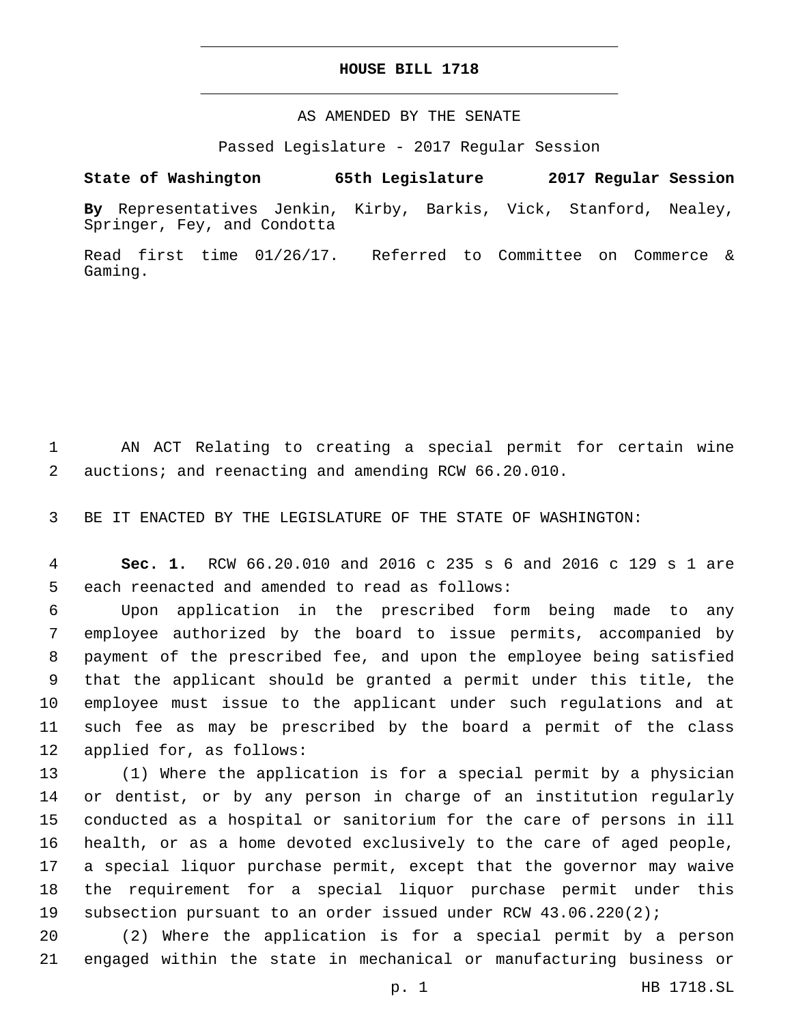## **HOUSE BILL 1718**

AS AMENDED BY THE SENATE

Passed Legislature - 2017 Regular Session

# **State of Washington 65th Legislature 2017 Regular Session**

**By** Representatives Jenkin, Kirby, Barkis, Vick, Stanford, Nealey, Springer, Fey, and Condotta

Read first time 01/26/17. Referred to Committee on Commerce & Gaming.

 AN ACT Relating to creating a special permit for certain wine auctions; and reenacting and amending RCW 66.20.010.

BE IT ENACTED BY THE LEGISLATURE OF THE STATE OF WASHINGTON:

 **Sec. 1.** RCW 66.20.010 and 2016 c 235 s 6 and 2016 c 129 s 1 are 5 each reenacted and amended to read as follows:

 Upon application in the prescribed form being made to any employee authorized by the board to issue permits, accompanied by payment of the prescribed fee, and upon the employee being satisfied that the applicant should be granted a permit under this title, the employee must issue to the applicant under such regulations and at such fee as may be prescribed by the board a permit of the class 12 applied for, as follows:

 (1) Where the application is for a special permit by a physician or dentist, or by any person in charge of an institution regularly conducted as a hospital or sanitorium for the care of persons in ill health, or as a home devoted exclusively to the care of aged people, a special liquor purchase permit, except that the governor may waive the requirement for a special liquor purchase permit under this subsection pursuant to an order issued under RCW 43.06.220(2);

 (2) Where the application is for a special permit by a person engaged within the state in mechanical or manufacturing business or

p. 1 HB 1718.SL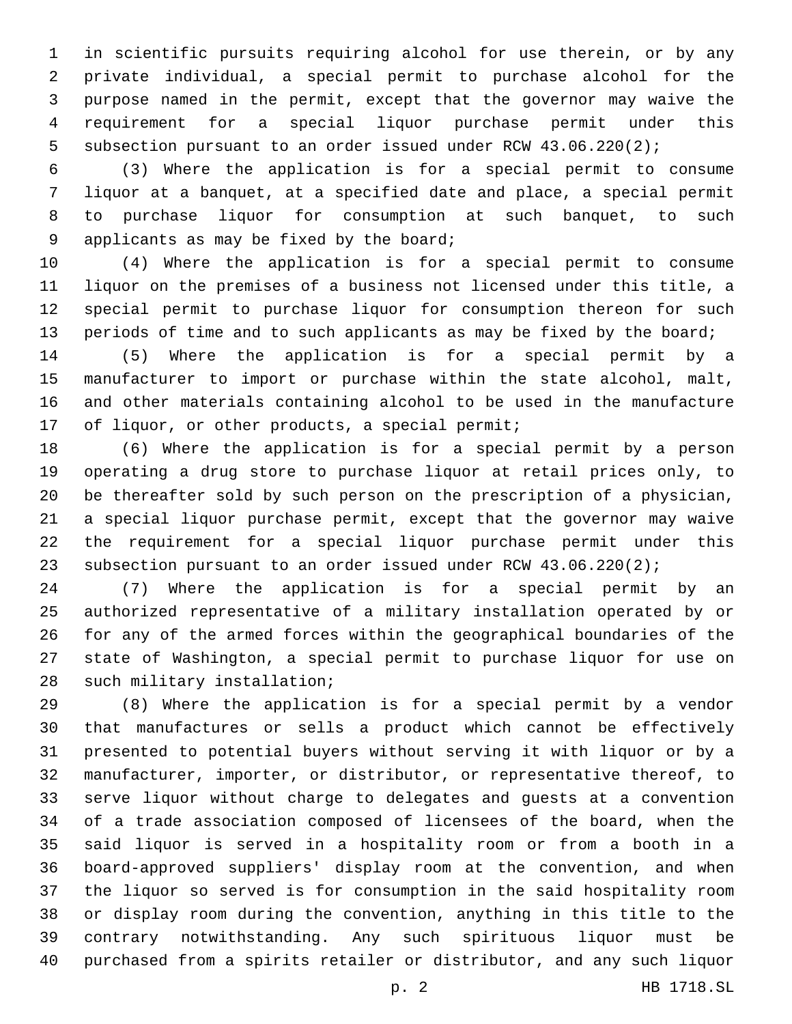in scientific pursuits requiring alcohol for use therein, or by any private individual, a special permit to purchase alcohol for the purpose named in the permit, except that the governor may waive the requirement for a special liquor purchase permit under this subsection pursuant to an order issued under RCW 43.06.220(2);

 (3) Where the application is for a special permit to consume liquor at a banquet, at a specified date and place, a special permit to purchase liquor for consumption at such banquet, to such 9 applicants as may be fixed by the board;

 (4) Where the application is for a special permit to consume liquor on the premises of a business not licensed under this title, a special permit to purchase liquor for consumption thereon for such 13 periods of time and to such applicants as may be fixed by the board;

 (5) Where the application is for a special permit by a manufacturer to import or purchase within the state alcohol, malt, and other materials containing alcohol to be used in the manufacture 17 of liquor, or other products, a special permit;

 (6) Where the application is for a special permit by a person operating a drug store to purchase liquor at retail prices only, to be thereafter sold by such person on the prescription of a physician, a special liquor purchase permit, except that the governor may waive the requirement for a special liquor purchase permit under this subsection pursuant to an order issued under RCW 43.06.220(2);

 (7) Where the application is for a special permit by an authorized representative of a military installation operated by or for any of the armed forces within the geographical boundaries of the state of Washington, a special permit to purchase liquor for use on 28 such military installation;

 (8) Where the application is for a special permit by a vendor that manufactures or sells a product which cannot be effectively presented to potential buyers without serving it with liquor or by a manufacturer, importer, or distributor, or representative thereof, to serve liquor without charge to delegates and guests at a convention of a trade association composed of licensees of the board, when the said liquor is served in a hospitality room or from a booth in a board-approved suppliers' display room at the convention, and when the liquor so served is for consumption in the said hospitality room or display room during the convention, anything in this title to the contrary notwithstanding. Any such spirituous liquor must be purchased from a spirits retailer or distributor, and any such liquor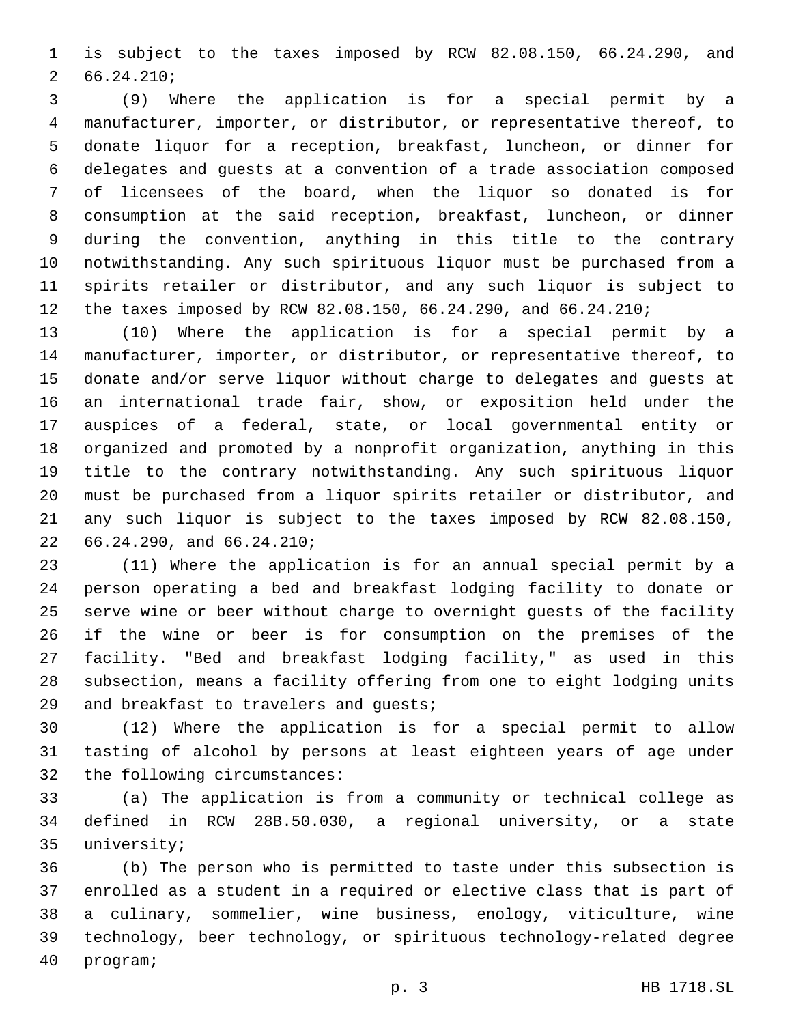is subject to the taxes imposed by RCW 82.08.150, 66.24.290, and 66.24.210;2

 (9) Where the application is for a special permit by a manufacturer, importer, or distributor, or representative thereof, to donate liquor for a reception, breakfast, luncheon, or dinner for delegates and guests at a convention of a trade association composed of licensees of the board, when the liquor so donated is for consumption at the said reception, breakfast, luncheon, or dinner during the convention, anything in this title to the contrary notwithstanding. Any such spirituous liquor must be purchased from a spirits retailer or distributor, and any such liquor is subject to the taxes imposed by RCW 82.08.150, 66.24.290, and 66.24.210;

 (10) Where the application is for a special permit by a manufacturer, importer, or distributor, or representative thereof, to donate and/or serve liquor without charge to delegates and guests at an international trade fair, show, or exposition held under the auspices of a federal, state, or local governmental entity or organized and promoted by a nonprofit organization, anything in this title to the contrary notwithstanding. Any such spirituous liquor must be purchased from a liquor spirits retailer or distributor, and any such liquor is subject to the taxes imposed by RCW 82.08.150, 22 66.24.290, and 66.24.210;

 (11) Where the application is for an annual special permit by a person operating a bed and breakfast lodging facility to donate or serve wine or beer without charge to overnight guests of the facility if the wine or beer is for consumption on the premises of the facility. "Bed and breakfast lodging facility," as used in this subsection, means a facility offering from one to eight lodging units 29 and breakfast to travelers and quests;

 (12) Where the application is for a special permit to allow tasting of alcohol by persons at least eighteen years of age under 32 the following circumstances:

 (a) The application is from a community or technical college as defined in RCW 28B.50.030, a regional university, or a state 35 university;

 (b) The person who is permitted to taste under this subsection is enrolled as a student in a required or elective class that is part of a culinary, sommelier, wine business, enology, viticulture, wine technology, beer technology, or spirituous technology-related degree 40 program;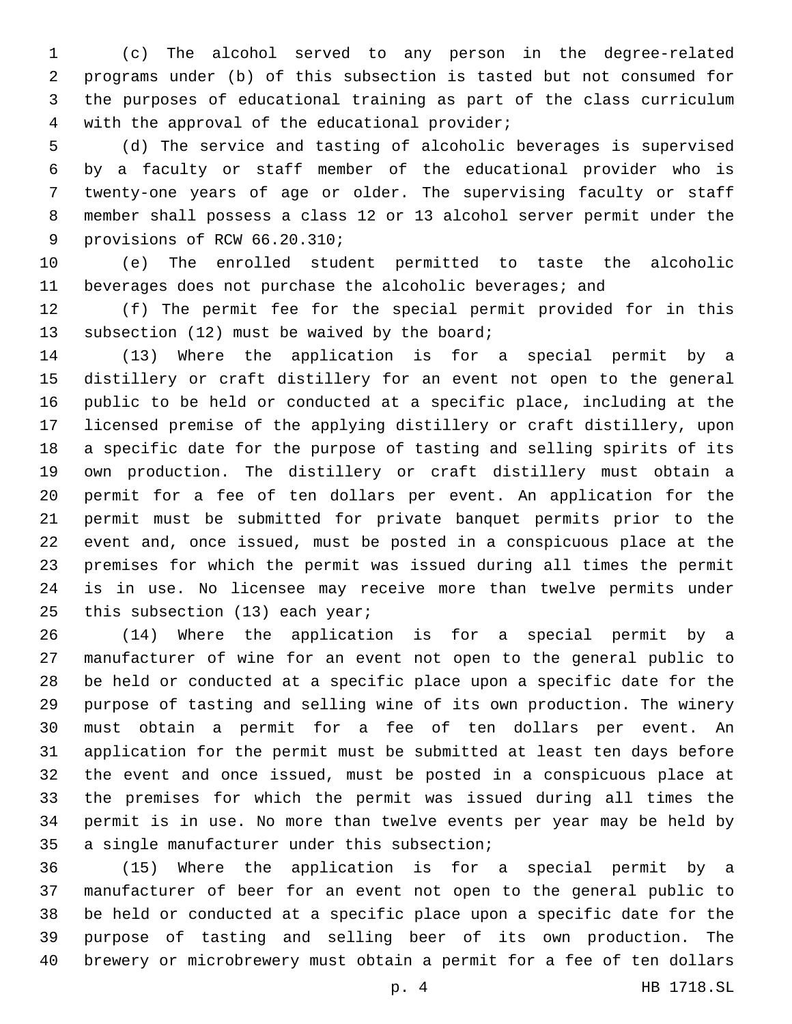(c) The alcohol served to any person in the degree-related programs under (b) of this subsection is tasted but not consumed for the purposes of educational training as part of the class curriculum 4 with the approval of the educational provider;

 (d) The service and tasting of alcoholic beverages is supervised by a faculty or staff member of the educational provider who is twenty-one years of age or older. The supervising faculty or staff member shall possess a class 12 or 13 alcohol server permit under the 9 provisions of RCW 66.20.310;

 (e) The enrolled student permitted to taste the alcoholic beverages does not purchase the alcoholic beverages; and

 (f) The permit fee for the special permit provided for in this 13 subsection (12) must be waived by the board;

 (13) Where the application is for a special permit by a distillery or craft distillery for an event not open to the general public to be held or conducted at a specific place, including at the licensed premise of the applying distillery or craft distillery, upon a specific date for the purpose of tasting and selling spirits of its own production. The distillery or craft distillery must obtain a permit for a fee of ten dollars per event. An application for the permit must be submitted for private banquet permits prior to the event and, once issued, must be posted in a conspicuous place at the premises for which the permit was issued during all times the permit is in use. No licensee may receive more than twelve permits under 25 this subsection  $(13)$  each year;

 (14) Where the application is for a special permit by a manufacturer of wine for an event not open to the general public to be held or conducted at a specific place upon a specific date for the purpose of tasting and selling wine of its own production. The winery must obtain a permit for a fee of ten dollars per event. An application for the permit must be submitted at least ten days before the event and once issued, must be posted in a conspicuous place at the premises for which the permit was issued during all times the permit is in use. No more than twelve events per year may be held by 35 a single manufacturer under this subsection;

 (15) Where the application is for a special permit by a manufacturer of beer for an event not open to the general public to be held or conducted at a specific place upon a specific date for the purpose of tasting and selling beer of its own production. The brewery or microbrewery must obtain a permit for a fee of ten dollars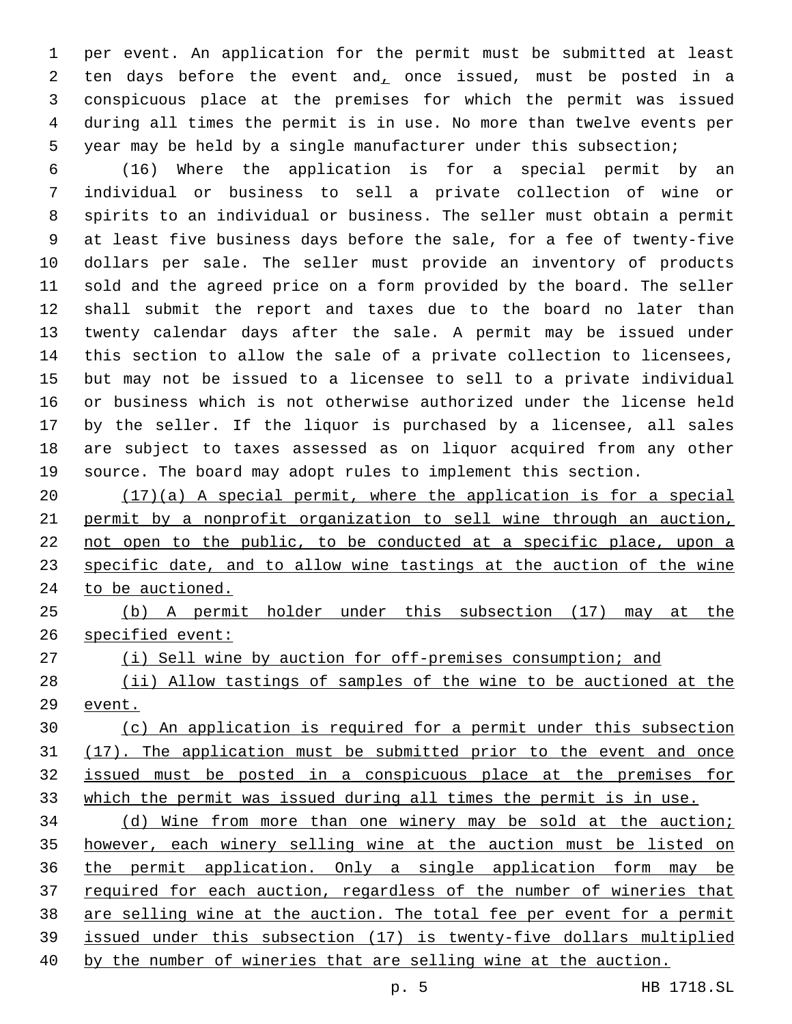per event. An application for the permit must be submitted at least 2 ten days before the event and, once issued, must be posted in a conspicuous place at the premises for which the permit was issued during all times the permit is in use. No more than twelve events per year may be held by a single manufacturer under this subsection;

 (16) Where the application is for a special permit by an individual or business to sell a private collection of wine or spirits to an individual or business. The seller must obtain a permit at least five business days before the sale, for a fee of twenty-five dollars per sale. The seller must provide an inventory of products sold and the agreed price on a form provided by the board. The seller shall submit the report and taxes due to the board no later than twenty calendar days after the sale. A permit may be issued under this section to allow the sale of a private collection to licensees, but may not be issued to a licensee to sell to a private individual or business which is not otherwise authorized under the license held by the seller. If the liquor is purchased by a licensee, all sales are subject to taxes assessed as on liquor acquired from any other source. The board may adopt rules to implement this section.

 (17)(a) A special permit, where the application is for a special permit by a nonprofit organization to sell wine through an auction, not open to the public, to be conducted at a specific place, upon a specific date, and to allow wine tastings at the auction of the wine to be auctioned.

 (b) A permit holder under this subsection (17) may at the specified event:

27 (i) Sell wine by auction for off-premises consumption; and

 (ii) Allow tastings of samples of the wine to be auctioned at the event.

 (c) An application is required for a permit under this subsection (17). The application must be submitted prior to the event and once issued must be posted in a conspicuous place at the premises for which the permit was issued during all times the permit is in use.

 (d) Wine from more than one winery may be sold at the auction; however, each winery selling wine at the auction must be listed on the permit application. Only a single application form may be required for each auction, regardless of the number of wineries that are selling wine at the auction. The total fee per event for a permit issued under this subsection (17) is twenty-five dollars multiplied by the number of wineries that are selling wine at the auction.